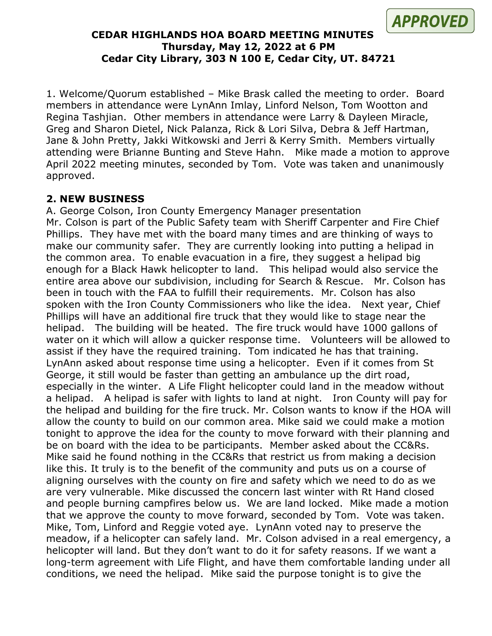

#### **CEDAR HIGHLANDS HOA BOARD MEETING MINUTES Thursday, May 12, 2022 at 6 PM Cedar City Library, 303 N 100 E, Cedar City, UT. 84721**

1. Welcome/Quorum established – Mike Brask called the meeting to order. Board members in attendance were LynAnn Imlay, Linford Nelson, Tom Wootton and Regina Tashjian. Other members in attendance were Larry & Dayleen Miracle, Greg and Sharon Dietel, Nick Palanza, Rick & Lori Silva, Debra & Jeff Hartman, Jane & John Pretty, Jakki Witkowski and Jerri & Kerry Smith. Members virtually attending were Brianne Bunting and Steve Hahn. Mike made a motion to approve April 2022 meeting minutes, seconded by Tom. Vote was taken and unanimously approved.

## **2. NEW BUSINESS**

A. George Colson, Iron County Emergency Manager presentation Mr. Colson is part of the Public Safety team with Sheriff Carpenter and Fire Chief Phillips. They have met with the board many times and are thinking of ways to make our community safer. They are currently looking into putting a helipad in the common area. To enable evacuation in a fire, they suggest a helipad big enough for a Black Hawk helicopter to land. This helipad would also service the entire area above our subdivision, including for Search & Rescue. Mr. Colson has been in touch with the FAA to fulfill their requirements. Mr. Colson has also spoken with the Iron County Commissioners who like the idea. Next year, Chief Phillips will have an additional fire truck that they would like to stage near the helipad. The building will be heated. The fire truck would have 1000 gallons of water on it which will allow a quicker response time. Volunteers will be allowed to assist if they have the required training. Tom indicated he has that training. LynAnn asked about response time using a helicopter. Even if it comes from St George, it still would be faster than getting an ambulance up the dirt road, especially in the winter. A Life Flight helicopter could land in the meadow without a helipad. A helipad is safer with lights to land at night. Iron County will pay for the helipad and building for the fire truck. Mr. Colson wants to know if the HOA will allow the county to build on our common area. Mike said we could make a motion tonight to approve the idea for the county to move forward with their planning and be on board with the idea to be participants. Member asked about the CC&Rs. Mike said he found nothing in the CC&Rs that restrict us from making a decision like this. It truly is to the benefit of the community and puts us on a course of aligning ourselves with the county on fire and safety which we need to do as we are very vulnerable. Mike discussed the concern last winter with Rt Hand closed and people burning campfires below us. We are land locked. Mike made a motion that we approve the county to move forward, seconded by Tom. Vote was taken. Mike, Tom, Linford and Reggie voted aye. LynAnn voted nay to preserve the meadow, if a helicopter can safely land. Mr. Colson advised in a real emergency, a helicopter will land. But they don't want to do it for safety reasons. If we want a long-term agreement with Life Flight, and have them comfortable landing under all conditions, we need the helipad. Mike said the purpose tonight is to give the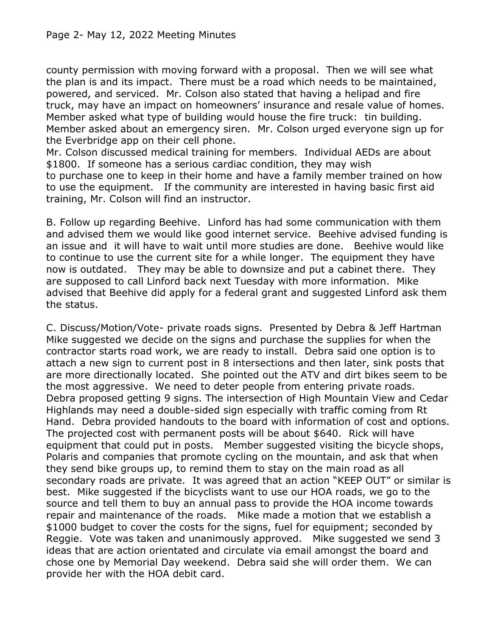## Page 2- May 12, 2022 Meeting Minutes

county permission with moving forward with a proposal. Then we will see what the plan is and its impact. There must be a road which needs to be maintained, powered, and serviced. Mr. Colson also stated that having a helipad and fire truck, may have an impact on homeowners' insurance and resale value of homes. Member asked what type of building would house the fire truck: tin building. Member asked about an emergency siren. Mr. Colson urged everyone sign up for the Everbridge app on their cell phone.

Mr. Colson discussed medical training for members. Individual AEDs are about \$1800. If someone has a serious cardiac condition, they may wish to purchase one to keep in their home and have a family member trained on how to use the equipment. If the community are interested in having basic first aid training, Mr. Colson will find an instructor.

B. Follow up regarding Beehive. Linford has had some communication with them and advised them we would like good internet service. Beehive advised funding is an issue and it will have to wait until more studies are done. Beehive would like to continue to use the current site for a while longer. The equipment they have now is outdated. They may be able to downsize and put a cabinet there. They are supposed to call Linford back next Tuesday with more information. Mike advised that Beehive did apply for a federal grant and suggested Linford ask them the status.

C. Discuss/Motion/Vote- private roads signs. Presented by Debra & Jeff Hartman Mike suggested we decide on the signs and purchase the supplies for when the contractor starts road work, we are ready to install. Debra said one option is to attach a new sign to current post in 8 intersections and then later, sink posts that are more directionally located. She pointed out the ATV and dirt bikes seem to be the most aggressive. We need to deter people from entering private roads. Debra proposed getting 9 signs. The intersection of High Mountain View and Cedar Highlands may need a double-sided sign especially with traffic coming from Rt Hand. Debra provided handouts to the board with information of cost and options. The projected cost with permanent posts will be about \$640. Rick will have equipment that could put in posts. Member suggested visiting the bicycle shops, Polaris and companies that promote cycling on the mountain, and ask that when they send bike groups up, to remind them to stay on the main road as all secondary roads are private. It was agreed that an action "KEEP OUT" or similar is best. Mike suggested if the bicyclists want to use our HOA roads, we go to the source and tell them to buy an annual pass to provide the HOA income towards repair and maintenance of the roads. Mike made a motion that we establish a \$1000 budget to cover the costs for the signs, fuel for equipment; seconded by Reggie. Vote was taken and unanimously approved. Mike suggested we send 3 ideas that are action orientated and circulate via email amongst the board and chose one by Memorial Day weekend. Debra said she will order them. We can provide her with the HOA debit card.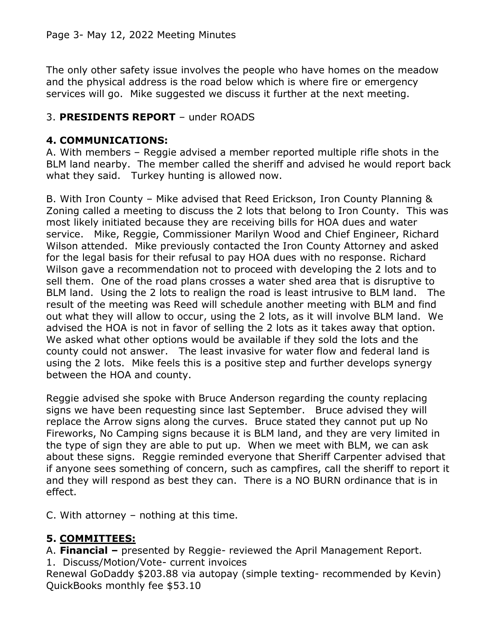The only other safety issue involves the people who have homes on the meadow and the physical address is the road below which is where fire or emergency services will go. Mike suggested we discuss it further at the next meeting.

## 3. **PRESIDENTS REPORT** – under ROADS

## **4. COMMUNICATIONS:**

A. With members – Reggie advised a member reported multiple rifle shots in the BLM land nearby. The member called the sheriff and advised he would report back what they said. Turkey hunting is allowed now.

B. With Iron County – Mike advised that Reed Erickson, Iron County Planning & Zoning called a meeting to discuss the 2 lots that belong to Iron County. This was most likely initiated because they are receiving bills for HOA dues and water service. Mike, Reggie, Commissioner Marilyn Wood and Chief Engineer, Richard Wilson attended. Mike previously contacted the Iron County Attorney and asked for the legal basis for their refusal to pay HOA dues with no response. Richard Wilson gave a recommendation not to proceed with developing the 2 lots and to sell them. One of the road plans crosses a water shed area that is disruptive to BLM land. Using the 2 lots to realign the road is least intrusive to BLM land. The result of the meeting was Reed will schedule another meeting with BLM and find out what they will allow to occur, using the 2 lots, as it will involve BLM land. We advised the HOA is not in favor of selling the 2 lots as it takes away that option. We asked what other options would be available if they sold the lots and the county could not answer. The least invasive for water flow and federal land is using the 2 lots. Mike feels this is a positive step and further develops synergy between the HOA and county.

Reggie advised she spoke with Bruce Anderson regarding the county replacing signs we have been requesting since last September. Bruce advised they will replace the Arrow signs along the curves. Bruce stated they cannot put up No Fireworks, No Camping signs because it is BLM land, and they are very limited in the type of sign they are able to put up. When we meet with BLM, we can ask about these signs. Reggie reminded everyone that Sheriff Carpenter advised that if anyone sees something of concern, such as campfires, call the sheriff to report it and they will respond as best they can. There is a NO BURN ordinance that is in effect.

C. With attorney – nothing at this time.

## **5. COMMITTEES:**

A. **Financial –** presented by Reggie- reviewed the April Management Report.

1. Discuss/Motion/Vote- current invoices

Renewal GoDaddy \$203.88 via autopay (simple texting- recommended by Kevin) QuickBooks monthly fee \$53.10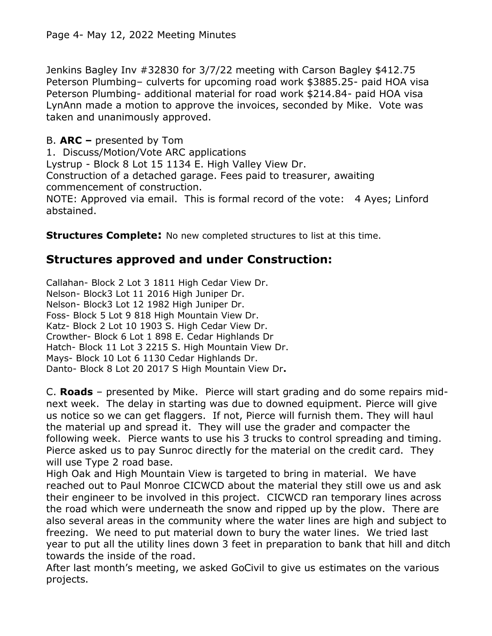Jenkins Bagley Inv #32830 for 3/7/22 meeting with Carson Bagley \$412.75 Peterson Plumbing– culverts for upcoming road work \$3885.25- paid HOA visa Peterson Plumbing- additional material for road work \$214.84- paid HOA visa LynAnn made a motion to approve the invoices, seconded by Mike. Vote was taken and unanimously approved.

B. **ARC –** presented by Tom

1. Discuss/Motion/Vote ARC applications

Lystrup - Block 8 Lot 15 1134 E. High Valley View Dr.

Construction of a detached garage. Fees paid to treasurer, awaiting commencement of construction.

NOTE: Approved via email. This is formal record of the vote: 4 Ayes; Linford abstained.

**Structures Complete:** No new completed structures to list at this time.

# **Structures approved and under Construction:**

Callahan- Block 2 Lot 3 1811 High Cedar View Dr. Nelson- Block3 Lot 11 2016 High Juniper Dr. Nelson- Block3 Lot 12 1982 High Juniper Dr. Foss- Block 5 Lot 9 818 High Mountain View Dr. Katz- Block 2 Lot 10 1903 S. High Cedar View Dr. Crowther- Block 6 Lot 1 898 E. Cedar Highlands Dr Hatch- Block 11 Lot 3 2215 S. High Mountain View Dr. Mays- Block 10 Lot 6 1130 Cedar Highlands Dr. Danto- Block 8 Lot 20 2017 S High Mountain View Dr**.**

C. **Roads** – presented by Mike. Pierce will start grading and do some repairs midnext week. The delay in starting was due to downed equipment. Pierce will give us notice so we can get flaggers. If not, Pierce will furnish them. They will haul the material up and spread it. They will use the grader and compacter the following week. Pierce wants to use his 3 trucks to control spreading and timing. Pierce asked us to pay Sunroc directly for the material on the credit card. They will use Type 2 road base.

High Oak and High Mountain View is targeted to bring in material. We have reached out to Paul Monroe CICWCD about the material they still owe us and ask their engineer to be involved in this project. CICWCD ran temporary lines across the road which were underneath the snow and ripped up by the plow. There are also several areas in the community where the water lines are high and subject to freezing. We need to put material down to bury the water lines. We tried last year to put all the utility lines down 3 feet in preparation to bank that hill and ditch towards the inside of the road.

After last month's meeting, we asked GoCivil to give us estimates on the various projects.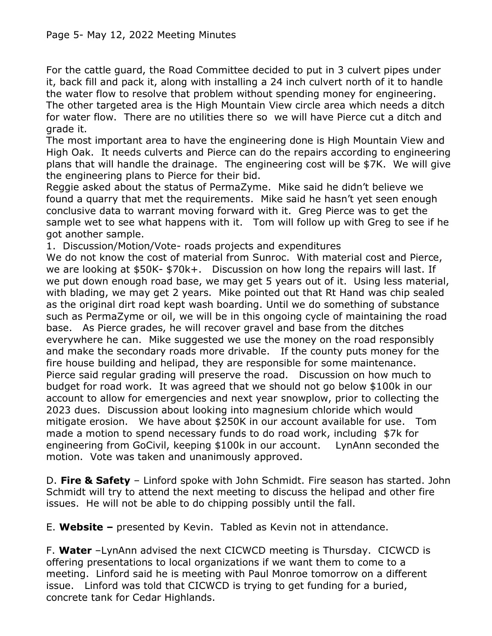For the cattle guard, the Road Committee decided to put in 3 culvert pipes under it, back fill and pack it, along with installing a 24 inch culvert north of it to handle the water flow to resolve that problem without spending money for engineering. The other targeted area is the High Mountain View circle area which needs a ditch for water flow. There are no utilities there so we will have Pierce cut a ditch and grade it.

The most important area to have the engineering done is High Mountain View and High Oak. It needs culverts and Pierce can do the repairs according to engineering plans that will handle the drainage. The engineering cost will be \$7K. We will give the engineering plans to Pierce for their bid.

Reggie asked about the status of PermaZyme. Mike said he didn't believe we found a quarry that met the requirements. Mike said he hasn't yet seen enough conclusive data to warrant moving forward with it. Greg Pierce was to get the sample wet to see what happens with it. Tom will follow up with Greg to see if he got another sample.

1. Discussion/Motion/Vote- roads projects and expenditures

We do not know the cost of material from Sunroc. With material cost and Pierce, we are looking at \$50K- \$70k+. Discussion on how long the repairs will last. If we put down enough road base, we may get 5 years out of it. Using less material, with blading, we may get 2 years. Mike pointed out that Rt Hand was chip sealed as the original dirt road kept wash boarding. Until we do something of substance such as PermaZyme or oil, we will be in this ongoing cycle of maintaining the road base. As Pierce grades, he will recover gravel and base from the ditches everywhere he can. Mike suggested we use the money on the road responsibly and make the secondary roads more drivable. If the county puts money for the fire house building and helipad, they are responsible for some maintenance. Pierce said regular grading will preserve the road. Discussion on how much to budget for road work. It was agreed that we should not go below \$100k in our account to allow for emergencies and next year snowplow, prior to collecting the 2023 dues. Discussion about looking into magnesium chloride which would mitigate erosion. We have about \$250K in our account available for use. Tom made a motion to spend necessary funds to do road work, including \$7k for engineering from GoCivil, keeping \$100k in our account. LynAnn seconded the motion. Vote was taken and unanimously approved.

D. **Fire & Safety** – Linford spoke with John Schmidt. Fire season has started. John Schmidt will try to attend the next meeting to discuss the helipad and other fire issues. He will not be able to do chipping possibly until the fall.

E. **Website –** presented by Kevin. Tabled as Kevin not in attendance.

F. **Water** –LynAnn advised the next CICWCD meeting is Thursday. CICWCD is offering presentations to local organizations if we want them to come to a meeting. Linford said he is meeting with Paul Monroe tomorrow on a different issue. Linford was told that CICWCD is trying to get funding for a buried, concrete tank for Cedar Highlands.